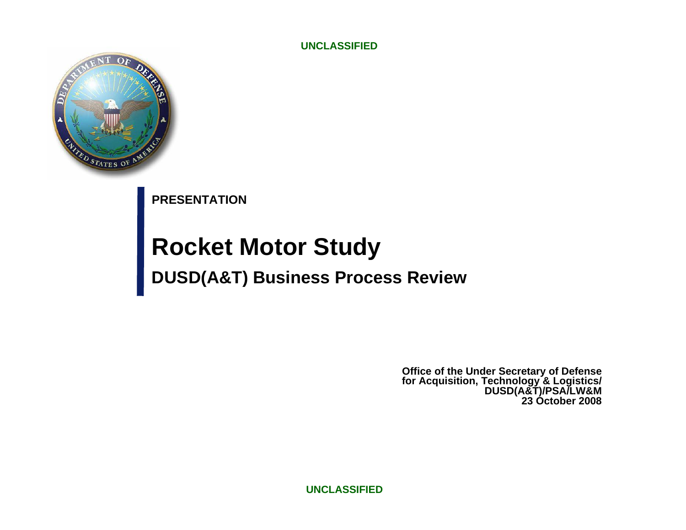**UNCLASSIFIED**



**PRESENTATION**

# **Rocket Motor Study DUSD(A&T) Business Process Review**

**Office of the Under Secretary of Defense for Acquisition, Technology & Logistics/ DUSD(A&T)/PSA/LW&M 23 October 2008**

**UNCLASSIFIED**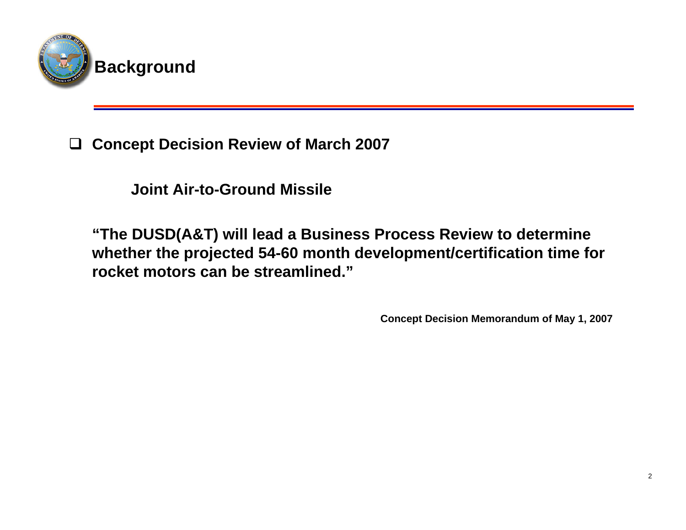

### $\Box$ **Concept Decision Review of March 2007**

**Joint Air-to-Ground Missile**

**"The DUSD(A&T) will lead a Business Process Review to determine whether the projected 54-60 month development/certification time for rocket motors can be streamlined."**

**Concept Decision Memorandum of May 1, 2007**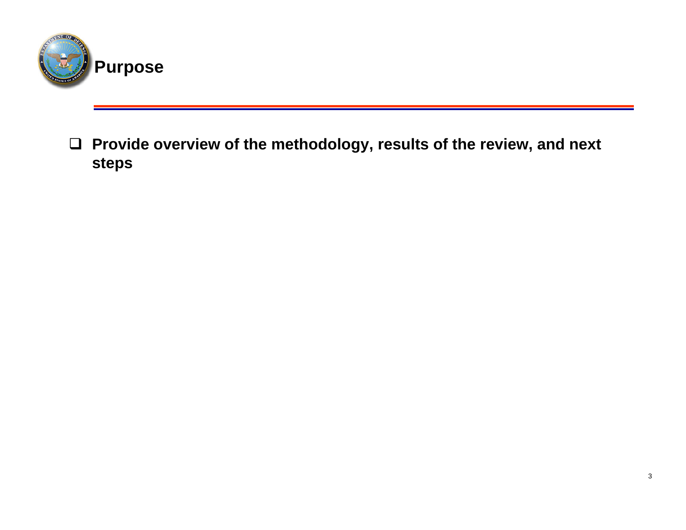

 **Provide overview of the methodology, results of the review, and next steps**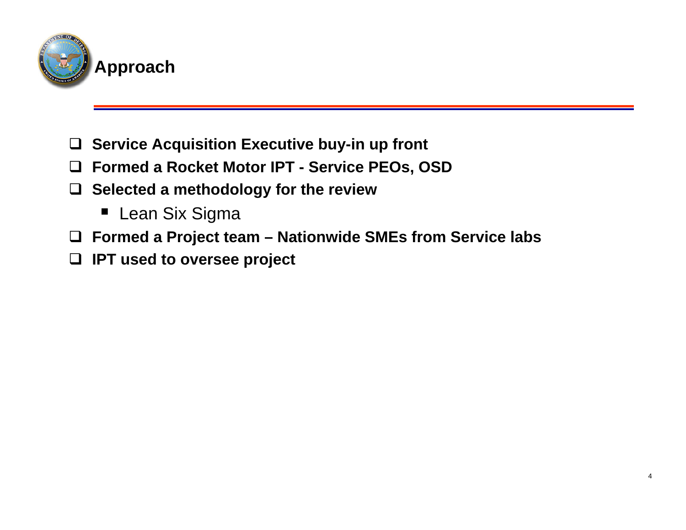

- $\Box$ **Service Acquisition Executive buy-in up front**
- $\Box$ **Formed a Rocket Motor IPT - Service PEOs, OSD**
- **Selected a methodology for the review**
	- Lean Six Sigma
- $\Box$ **Formed a Project team – Nationwide SMEs from Service labs**
- $\Box$ **IPT used to oversee project**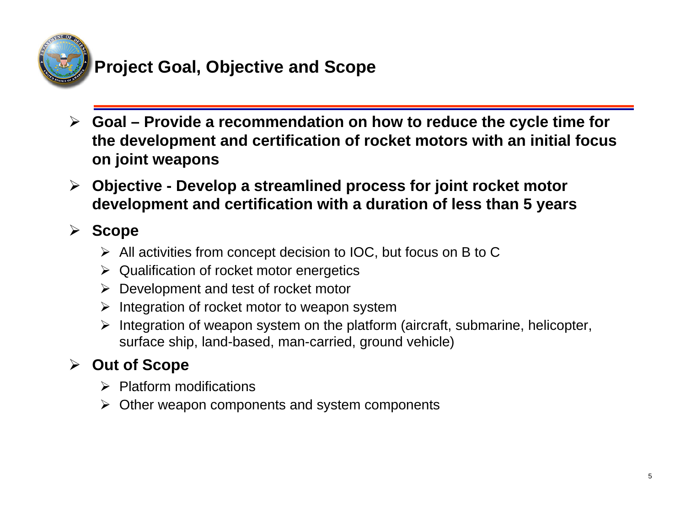

## **Project Goal, Objective and Scope**

- ¾ **Goal – Provide a recommendation on how to reduce the cycle time for the development and certification of rocket motors with an initial focus on joint weapons**
- ¾ **Objective - Develop a streamlined process for joint rocket motor development and certification with a duration of less than 5 years**

### ¾ **Scope**

- $\triangleright$  All activities from concept decision to IOC, but focus on B to C
- $\triangleright$  Qualification of rocket motor energetics
- $\triangleright$  Development and test of rocket motor
- $\triangleright$  Integration of rocket motor to weapon system
- ¾ Integration of weapon system on the platform (aircraft, submarine, helicopter, surface ship, land-based, man-carried, ground vehicle)

### ¾ **Out of Scope**

- $\triangleright$  Platform modifications
- $\blacktriangleright$ Other weapon components and system components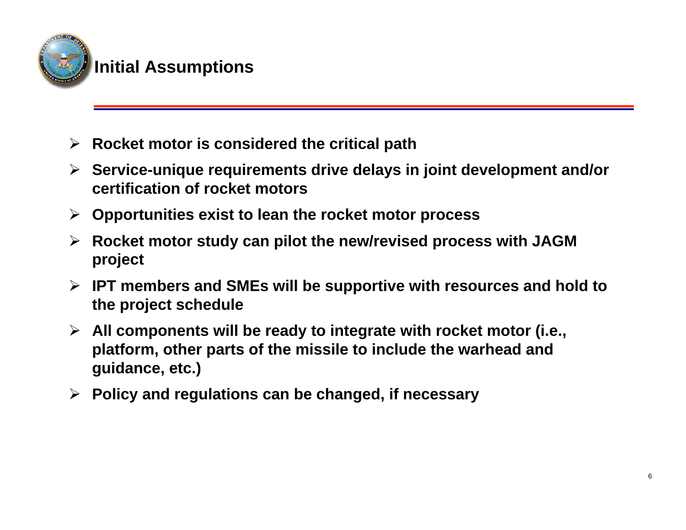

### **Initial Assumptions**

- ¾ **Rocket motor is considered the critical path**
- ¾ **Service-unique requirements drive delays in joint development and/or certification of rocket motors**
- ¾ **Opportunities exist to lean the rocket motor process**
- ¾ **Rocket motor study can pilot the new/revised process with JAGM project**
- ¾ **IPT members and SMEs will be supportive with resources and hold to the project schedule**
- ¾ **All components will be ready to integrate with rocket motor (i.e., platform, other parts of the missile to include the warhead and guidance, etc.)**
- ¾ **Policy and regulations can be changed, if necessary**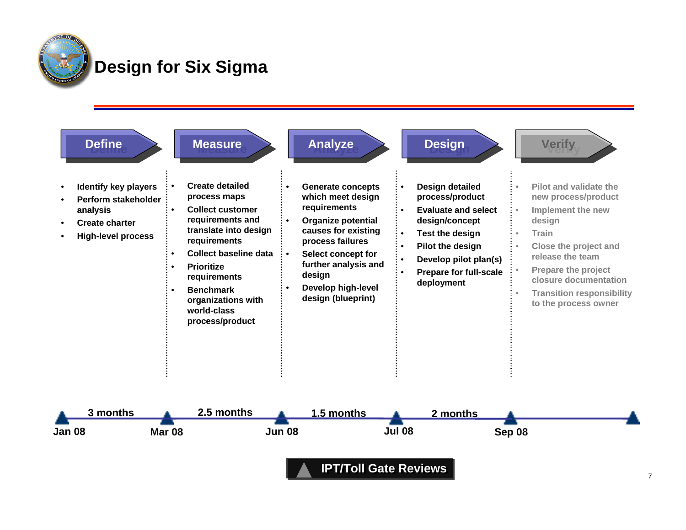

### **Design for Six Sigma**

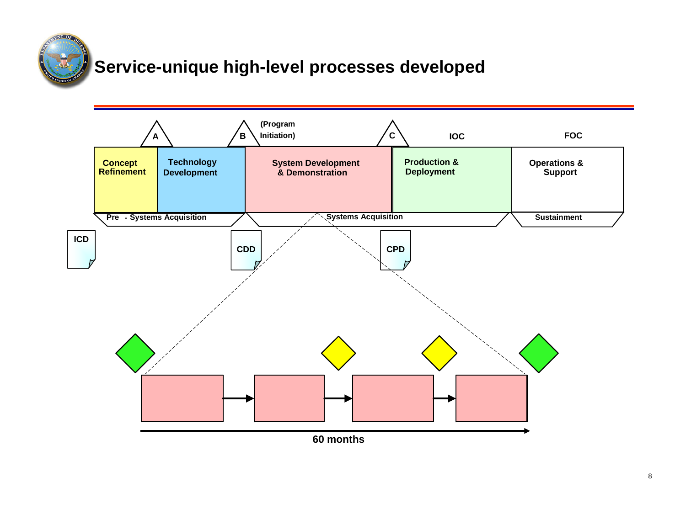

## **Service-unique high-level processes developed**

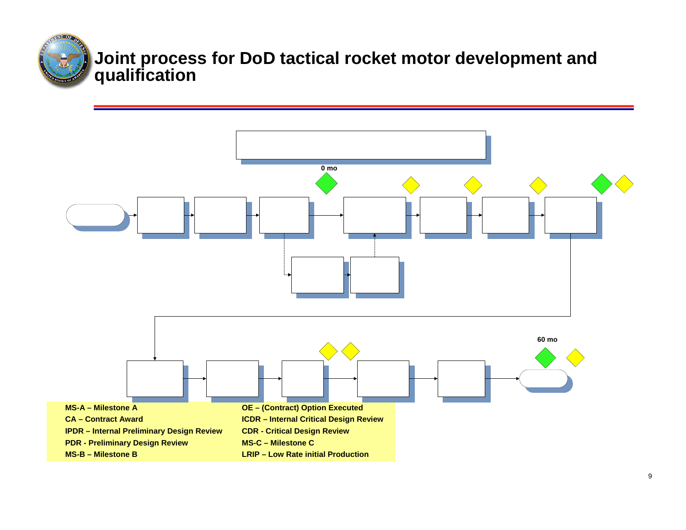

**Joint process for DoD tactical rocket motor development and qualification**

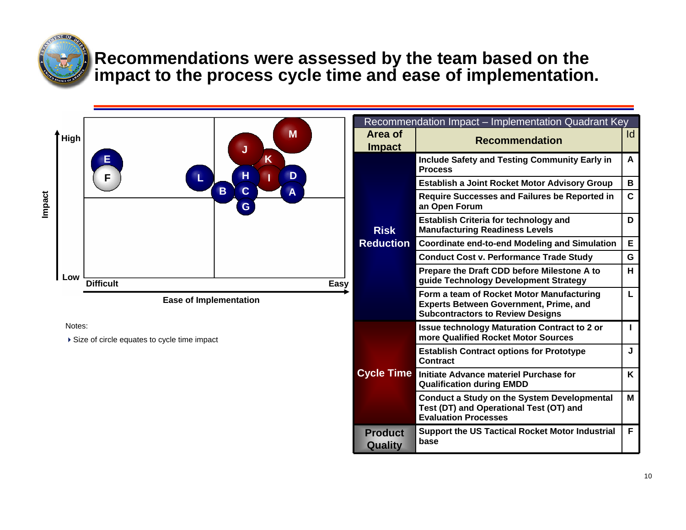

### **Recommendations were assessed by the team based on the impact to the process cycle time and ease of implementation.**



Notes:

▶ Size of circle equates to cycle time impact

|                                  | Recommendation Impact - Implementation Quadrant Key                                                                                   |    |
|----------------------------------|---------------------------------------------------------------------------------------------------------------------------------------|----|
| Area of<br><b>Impact</b>         | <b>Recommendation</b>                                                                                                                 | Id |
|                                  | <b>Include Safety and Testing Community Early in</b><br><b>Process</b>                                                                | A  |
|                                  | <b>Establish a Joint Rocket Motor Advisory Group</b>                                                                                  | в  |
|                                  | <b>Require Successes and Failures be Reported in</b><br>an Open Forum                                                                 | C  |
| <b>Risk</b>                      | <b>Establish Criteria for technology and</b><br><b>Manufacturing Readiness Levels</b>                                                 | D  |
| <b>Reduction</b>                 | <b>Coordinate end-to-end Modeling and Simulation</b>                                                                                  | Е  |
|                                  | <b>Conduct Cost v. Performance Trade Study</b>                                                                                        | G  |
|                                  | Prepare the Draft CDD before Milestone A to<br>guide Technology Development Strategy                                                  | н  |
|                                  | Form a team of Rocket Motor Manufacturing<br><b>Experts Between Government, Prime, and</b><br><b>Subcontractors to Review Designs</b> | L  |
|                                  | <b>Issue technology Maturation Contract to 2 or</b><br>more Qualified Rocket Motor Sources                                            | L  |
|                                  | <b>Establish Contract options for Prototype</b><br>Contract                                                                           | J  |
| <b>Cycle Time</b>                | Initiate Advance materiel Purchase for<br><b>Qualification during EMDD</b>                                                            | K  |
|                                  | <b>Conduct a Study on the System Developmental</b><br>Test (DT) and Operational Test (OT) and<br><b>Evaluation Processes</b>          | M  |
| <b>Product</b><br><b>Quality</b> | <b>Support the US Tactical Rocket Motor Industrial</b><br>base                                                                        | F  |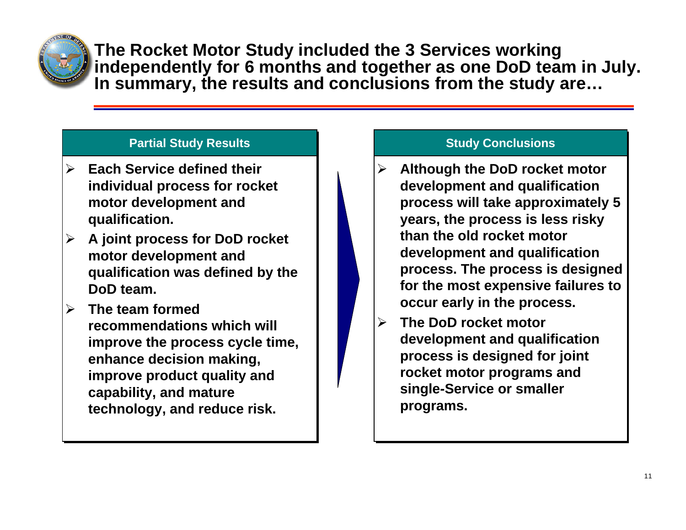

**The Rocket Motor Study included the 3 Services working independently for 6 months and together as one DoD team in July. In summary, the results and conclusions from the study are…**

### **Partial Study Results Partial Study Results**

- ¾ **Each Service defined their Each Service defined their individual process for rocket individual process for rocket motor development and motor development and qualification. qualification.** ¾
- ¾¾ **A joint process for DoD rocket A joint process for DoD rocket motor development and motor development and qualification was defined by the qualification was defined by the DoD team.DoD team.**
- ¾¾ **The team formed The team formed recommendations which will recommendations which will improve the process cycle time, improve the process cycle time, enhance decision making, enhance decision making, improve product quality and improve product quality and capability, and mature capability, and mature technology, and reduce risk. technology, and reduce risk.**

### **Study Conclusions Study Conclusions**

- ¾¾ **Although the DoD rocket motor Although the DoD rocket motor development and qualification development and qualification process will take approximately 5 process will take approximately 5 years, the process is less risky years, the process is less risky than the old rocket motor than the old rocket motor development and qualification development and qualification process. The process is designed process. The process is designed for the most expensive failures to for the most expensive failures to occur early in the process. occur early in the process.**
- ¾¾ **The DoD rocket motor The DoD rocket motor development and qualification development and qualification process is designed for joint process is designed for joint rocket motor programs and rocket motor programs and single-Service or smaller single-Service or smaller programs. programs.**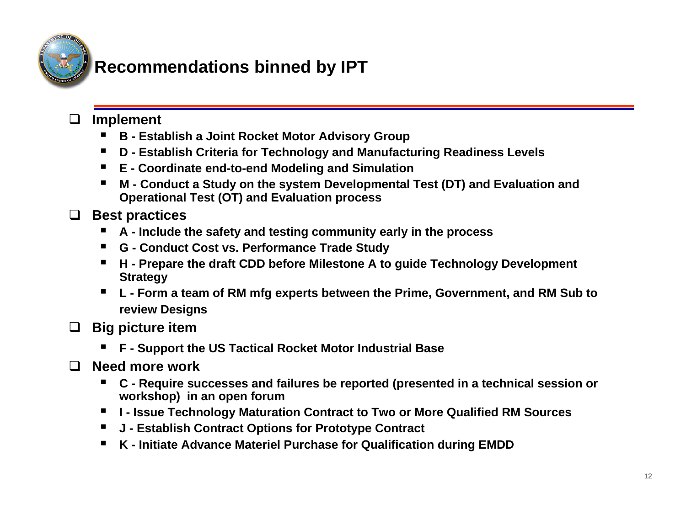

## **Recommendations binned by IPT**

#### $\Box$ **Implement**

- $\blacksquare$ **B - Establish a Joint Rocket Motor Advisory Group**
- $\blacksquare$ **D - Establish Criteria for Technology and Manufacturing Readiness Levels**
- **E - Coordinate end-to-end Modeling and Simulation**
- $\blacksquare$  **M - Conduct a Study on the system Developmental Test (DT) and Evaluation and Operational Test (OT) and Evaluation process**
- **Best practices**
	- **A - Include the safety and testing community early in the process**
	- **G - Conduct Cost vs. Performance Trade Study**
	- **H - Prepare the draft CDD before Milestone A to guide Technology Development Strategy**
	- **L - Form a team of RM mfg experts between the Prime, Government, and RM Sub to review Designs**
- **Big picture item**
	- **F - Support the US Tactical Rocket Motor Industrial Base**
- П. **Need more work**
	- п **C - Require successes and failures be reported (presented in a technical session or workshop) in an open forum**
	- $\blacksquare$ **I - Issue Technology Maturation Contract to Two or More Qualified RM Sources**
	- J Establish Contract Options for Prototype Contract
	- ш **K - Initiate Advance Materiel Purchase for Qualification during EMDD**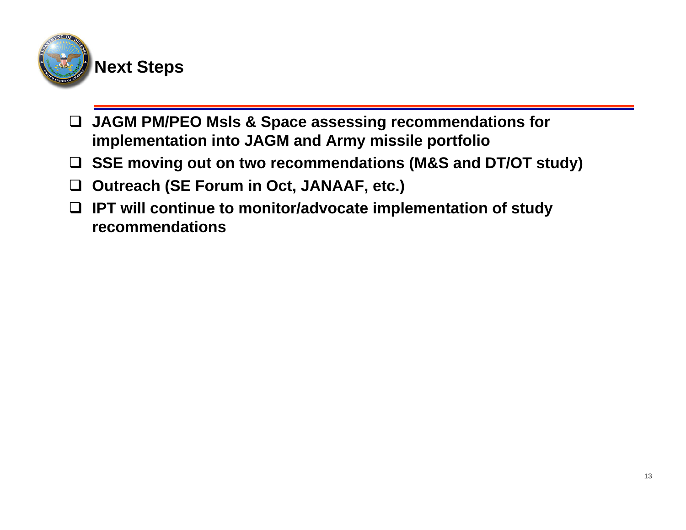

### **Next Steps**

- **JAGM PM/PEO Msls & Space assessing recommendations for implementation into JAGM and Army missile portfolio**
- $\Box$ **SSE moving out on two recommendations (M&S and DT/OT study)**
- $\Box$ **Outreach (SE Forum in Oct, JANAAF, etc.)**
- $\Box$  **IPT will continue to monitor/advocate implementation of study recommendations**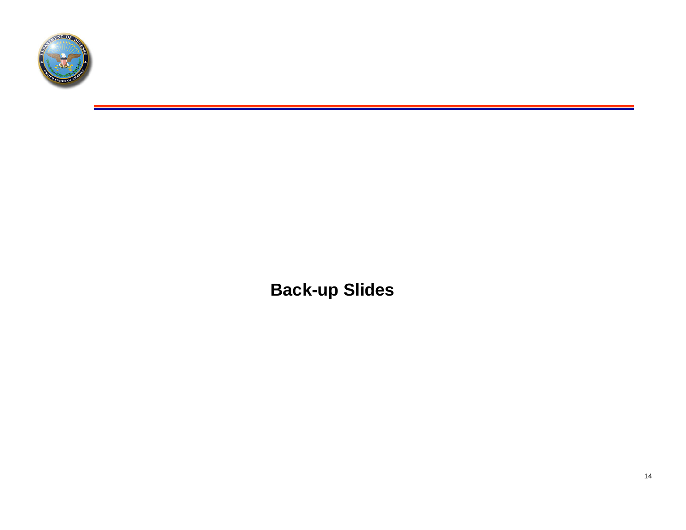

**Back-up Slides**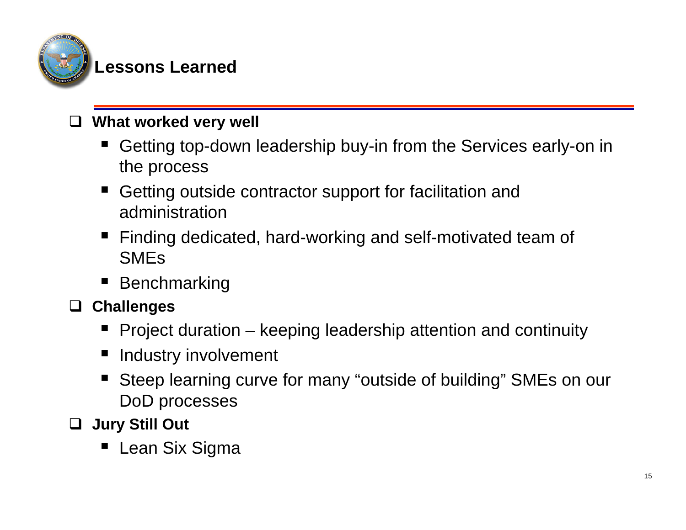

### **Lessons Learned**

### $\Box$ **What worked very well**

- Getting top-down leadership buy-in from the Services early-on in the process
- $\Box$  Getting outside contractor support for facilitation and administration
- ٠ Finding dedicated, hard-working and self-motivated team of SMEs
- $\blacksquare$ Benchmarking
- $\Box$  **Challenges**
	- Project duration – keeping leadership attention and continuity
	- $\blacksquare$ Industry involvement
	- Т. Steep learning curve for many "outside of building" SMEs on our DoD processes

## **Jury Still Out**

٠ Lean Six Sigma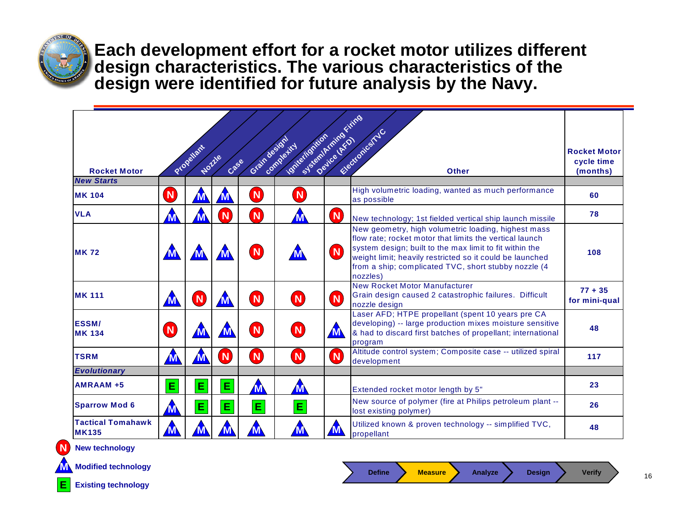

**Each development effort for a rocket motor utilizes different design characteristics. The various characteristics of the design were identified for future analysis by the Navy.**

|                                          |                     | Propalant<br>Northe | Case                | Grain design         | Joineilloilloil<br>completity |          | Sistema (Arithdefaires<br>Electronical VC                                                                                                                                                                                                                                                                  | <b>Rocket Motor</b><br>cycle time |
|------------------------------------------|---------------------|---------------------|---------------------|----------------------|-------------------------------|----------|------------------------------------------------------------------------------------------------------------------------------------------------------------------------------------------------------------------------------------------------------------------------------------------------------------|-----------------------------------|
| <b>Rocket Motor</b><br><b>New Starts</b> |                     |                     |                     |                      |                               |          | <b>Other</b>                                                                                                                                                                                                                                                                                               | (months)                          |
| <b>MK104</b>                             | $\sqrt{N}$          | M                   | $\sqrt{\mathsf{M}}$ | N <sub></sub>        | N <sub></sub>                 |          | High volumetric loading, wanted as much performance<br>as possible                                                                                                                                                                                                                                         | 60                                |
| <b>VLA</b>                               | <b>M</b>            | <b>M</b>            | N)                  | $\boxed{\mathsf{N}}$ | $\Lambda$                     | N)       | New technology; 1st fielded vertical ship launch missile                                                                                                                                                                                                                                                   | 78                                |
| <b>MK72</b>                              |                     | M                   | <b>M</b>            | N <sub></sub>        |                               | $\bf N$  | New geometry, high volumetric loading, highest mass<br>flow rate; rocket motor that limits the vertical launch<br>system design; built to the max limit to fit within the<br>weight limit; heavily restricted so it could be launched<br>from a ship; complicated TVC, short stubby nozzle (4)<br>nozzles) | 108                               |
| <b>MK 111</b>                            | $\blacksquare$      | N                   | $\sqrt{\mathbf{M}}$ | N <sub></sub>        | $\bullet$                     | N)       | <b>New Rocket Motor Manufacturer</b><br>Grain design caused 2 catastrophic failures. Difficult<br>nozzle design                                                                                                                                                                                            | $77 + 35$<br>for mini-qual        |
| <b>ESSM/</b><br><b>MK134</b>             | N <sub>.</sub>      |                     | <b>M</b>            | N <sub></sub>        | $\sqrt{}$                     | <b>M</b> | Laser AFD; HTPE propellant (spent 10 years pre CA<br>developing) -- large production mixes moisture sensitive<br>& had to discard first batches of propellant; international<br>program                                                                                                                    | 48                                |
| <b>TSRM</b>                              | $\sqrt{\mathbf{M}}$ | M                   | N <sub>.</sub>      | <b>N</b>             | N)                            | N.       | Altitude control system; Composite case -- utilized spiral<br>development                                                                                                                                                                                                                                  | 117                               |
| <b>Evolutionary</b>                      |                     |                     |                     |                      |                               |          |                                                                                                                                                                                                                                                                                                            |                                   |
| $AMRAAM + 5$                             | Ē.                  | E                   | E                   | <b>M</b>             | <b>M</b>                      |          | Extended rocket motor length by 5"                                                                                                                                                                                                                                                                         | 23                                |
| <b>Sparrow Mod 6</b>                     | <b>M</b>            | E                   | E.                  | E.                   | Е.                            |          | New source of polymer (fire at Philips petroleum plant --<br>lost existing polymer)                                                                                                                                                                                                                        | 26                                |
| <b>Tactical Tomahawk</b><br><b>MK135</b> |                     |                     |                     | <b>M</b>             | M                             |          | Utilized known & proven technology -- simplified TVC,<br>propellant                                                                                                                                                                                                                                        | 48                                |



**E** 

**New technology**

**Modified technology**

**Existing technology**

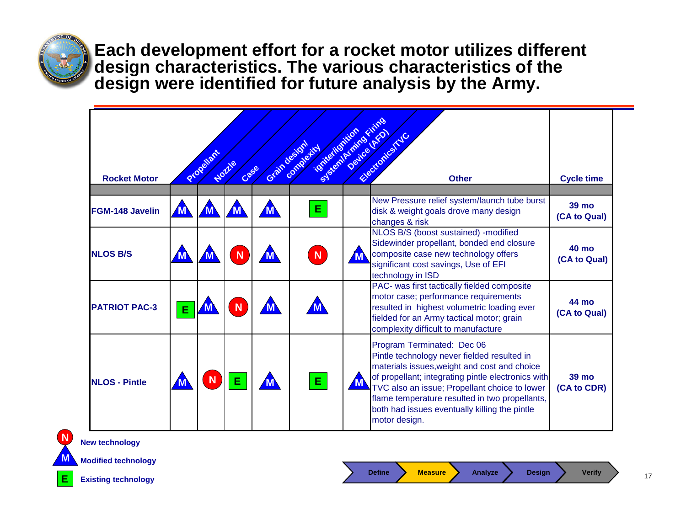

**Each development effort for a rocket motor utilizes different design characteristics. The various characteristics of the design were identified for future analysis by the Army.**

| <b>Rocket Motor</b>    |            | Program | Northe<br>Cass | Grain design | Society of Device River<br>completicl |              | Electronics/NC<br><b>Other</b>                                                                                                                                                                                                                                                                                                                       | <b>Cycle time</b>            |
|------------------------|------------|---------|----------------|--------------|---------------------------------------|--------------|------------------------------------------------------------------------------------------------------------------------------------------------------------------------------------------------------------------------------------------------------------------------------------------------------------------------------------------------------|------------------------------|
| <b>FGM-148 Javelin</b> | $\sqrt{M}$ |         |                |              | E.                                    |              | New Pressure relief system/launch tube burst<br>disk & weight goals drove many design<br>changes & risk                                                                                                                                                                                                                                              | <b>39 mo</b><br>(CA to Qual) |
| <b>NLOS B/S</b>        |            |         | N              |              | N                                     |              | NLOS B/S (boost sustained) -modified<br>Sidewinder propellant, bonded end closure<br>composite case new technology offers<br>significant cost savings, Use of EFI<br>technology in ISD                                                                                                                                                               | <b>40 mo</b><br>(CA to Qual) |
| <b>PATRIOT PAC-3</b>   | E          |         | N              |              |                                       |              | PAC- was first tactically fielded composite<br>motor case; performance requirements<br>resulted in highest volumetric loading ever<br>fielded for an Army tactical motor; grain<br>complexity difficult to manufacture                                                                                                                               | 44 mo<br>(CA to Qual)        |
| <b>NLOS - Pintle</b>   |            | N       | Е              |              | Ε.                                    | $\mathbf{M}$ | Program Terminated: Dec 06<br>Pintle technology never fielded resulted in<br>materials issues, weight and cost and choice<br>of propellant; integrating pintle electronics with<br>TVC also an issue; Propellant choice to lower<br>flame temperature resulted in two propellants,<br>both had issues eventually killing the pintle<br>motor design. | <b>39 mo</b><br>(CA to CDR)  |



**New technology**

**Modified technology**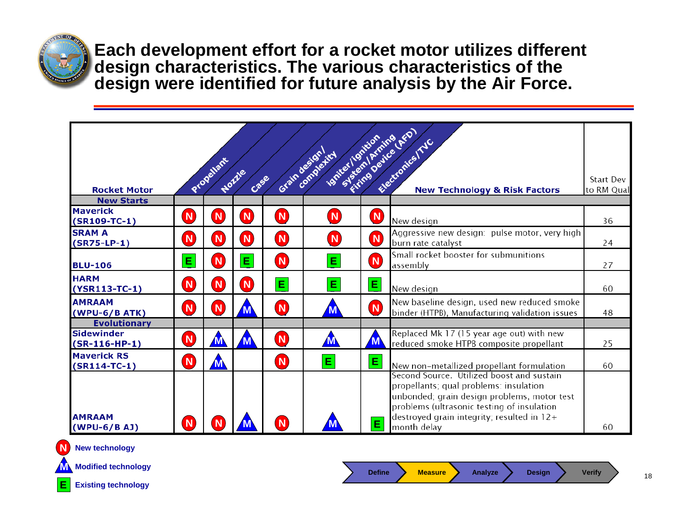

**Each development effort for a rocket motor utilizes different design characteristics. The various characteristics of the design were identified for future analysis by the Air Force.**

| System / Arming (AFO)<br>tonited lightion<br>Electronics Inco<br>Grain design!<br>completicl<br>Propelant<br>Northe<br>Case<br><b>Rocket Motor</b><br><b>New Technology &amp; Risk Factors</b> |                      |                |               |                |          |                      |                                                                                                                                                                                                                                               |    |  |
|------------------------------------------------------------------------------------------------------------------------------------------------------------------------------------------------|----------------------|----------------|---------------|----------------|----------|----------------------|-----------------------------------------------------------------------------------------------------------------------------------------------------------------------------------------------------------------------------------------------|----|--|
| <b>New Starts</b>                                                                                                                                                                              |                      |                |               |                |          |                      |                                                                                                                                                                                                                                               |    |  |
| <b>Maverick</b><br>$(SR109-TC-1)$                                                                                                                                                              | <b>N</b>             | N <sub></sub>  | N)            | <b>N</b>       | N        | $\boxed{\mathsf{N}}$ | New design                                                                                                                                                                                                                                    | 36 |  |
| <b>SRAM A</b><br>$(SR75-LP-1)$                                                                                                                                                                 | $\boxed{\mathsf{N}}$ | N)             | $\bullet$     | $\blacksquare$ | N)       | <b>N</b>             | Aggressive new design: pulse motor, very high<br>burn rate catalyst                                                                                                                                                                           | 24 |  |
| <b>BLU-106</b>                                                                                                                                                                                 | Ė.                   | $\bullet$      | E.            | (N)            | E        | N <sub></sub>        | Small rocket booster for submunitions<br>assembly                                                                                                                                                                                             | 27 |  |
| <b>HARM</b><br>(YSR113-TC-1)                                                                                                                                                                   | <b>N</b>             | N)             | N <sup></sup> | E              | E        | E.                   | New design                                                                                                                                                                                                                                    | 60 |  |
| <b>AMRAAM</b><br>$(WPU-6/BATK)$                                                                                                                                                                | <b>N</b>             | N <sub></sub>  | <b>M</b>      | $\blacksquare$ |          | N <sub></sub>        | New baseline design, used new reduced smoke<br>binder (HTPB), Manufacturing validation issues                                                                                                                                                 | 48 |  |
| <b>Evolutionary</b><br><b>Sidewinder</b><br>$(SR-116-HP-1)$                                                                                                                                    | N <sub></sub>        | $\blacksquare$ | M             | <b>N</b>       | <b>M</b> | <b>M</b>             | Replaced Mk 17 (15 year age out) with new<br>reduced smoke HTPB composite propellant                                                                                                                                                          | 25 |  |
| <b>Maverick RS</b><br>$(SR114-TC-1)$                                                                                                                                                           | N)                   | <b>M</b>       |               | (N)            | E.       | E,                   | New non-metallized propellant formulation                                                                                                                                                                                                     | 60 |  |
| <b>AMRAAM</b><br>(WPU-6/B AJ)                                                                                                                                                                  | <b>N</b>             |                |               | <b>N</b>       |          | Ë.                   | Second Source. Utilized boost and sustain<br>propellants; qual problems: insulation<br>unbonded; grain design problems, motor test<br>problems (ultrasonic testing of insulation<br>destroyed grain integrity; resulted in 12+<br>month delay | 60 |  |



**New technology**

**Modified technology**